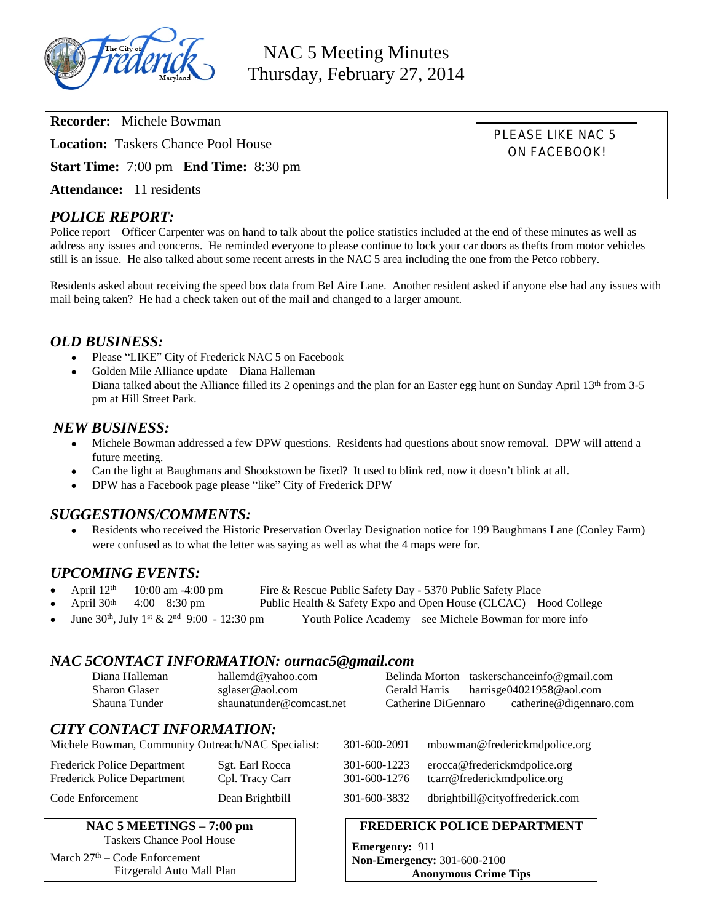

NAC 5 Meeting Minutes Thursday, February 27, 2014

**Recorder:** Michele Bowman **Location:** Taskers Chance Pool House **Start Time:** 7:00 pm **End Time:** 8:30 pm **Attendance:** 11 residents

PLEASE LIKE NAC 5 ON FACEBOOK!

# *POLICE REPORT:*

Police report – Officer Carpenter was on hand to talk about the police statistics included at the end of these minutes as well as address any issues and concerns. He reminded everyone to please continue to lock your car doors as thefts from motor vehicles still is an issue. He also talked about some recent arrests in the NAC 5 area including the one from the Petco robbery.

Residents asked about receiving the speed box data from Bel Aire Lane. Another resident asked if anyone else had any issues with mail being taken? He had a check taken out of the mail and changed to a larger amount.

### *OLD BUSINESS:*

- Please "LIKE" City of Frederick NAC 5 on Facebook
- Golden Mile Alliance update Diana Halleman Diana talked about the Alliance filled its 2 openings and the plan for an Easter egg hunt on Sunday April 13<sup>th</sup> from 3-5 pm at Hill Street Park.

# *NEW BUSINESS:*

- Michele Bowman addressed a few DPW questions. Residents had questions about snow removal. DPW will attend a future meeting.
- Can the light at Baughmans and Shookstown be fixed? It used to blink red, now it doesn't blink at all.
- DPW has a Facebook page please "like" City of Frederick DPW

### *SUGGESTIONS/COMMENTS:*

 Residents who received the Historic Preservation Overlay Designation notice for 199 Baughmans Lane (Conley Farm) were confused as to what the letter was saying as well as what the 4 maps were for.

### *UPCOMING EVENTS:*

- April  $12^{th}$  10:00 am -4:00 pm Fire & Rescue Public Safety Day 5370 Public Safety Place<br>April  $30^{th}$  4:00 8:30 pm Public Health & Safety Expo and Open House (CLCAC) H
	- Public Health & Safety Expo and Open House (CLCAC) Hood College
- June  $30<sup>th</sup>$ , July 1<sup>st</sup> &  $2<sup>nd</sup>$  9:00 12:30 pm Youth Police Academy see Michele Bowman for more info

#### *NAC 5CONTACT INFORMATION: ournac5@gmail.com*

| Diana Halleman       | hallemd@yahoo.com        |                     | Belinda Morton taskerschanceinfo@gmail.com |
|----------------------|--------------------------|---------------------|--------------------------------------------|
| <b>Sharon Glaser</b> | sglaser@aol.com          | Gerald Harris       | harrisge04021958@aol.com                   |
| Shauna Tunder        | shaunatunder@comcast.net | Catherine DiGennaro | catherine@digennaro.com                    |

## *CITY CONTACT INFORMATION:*

| <b>Taskers Chance Pool House</b><br>$\Delta \pi + \Delta$ $\Delta$ $\pi$ $\Gamma$ |                                    | <b>Emergency: 911</b>        |                                                             |
|-----------------------------------------------------------------------------------|------------------------------------|------------------------------|-------------------------------------------------------------|
| NAC 5 MEETINGS – 7:00 pm                                                          |                                    |                              | <b>FREDERICK POLICE DEPARTMENT</b>                          |
| Code Enforcement                                                                  | Dean Brightbill                    | 301-600-3832                 | dbrightbill@cityoffrederick.com                             |
| Frederick Police Department<br>Frederick Police Department                        | Sgt. Earl Rocca<br>Cpl. Tracy Carr | 301-600-1223<br>301-600-1276 | erocca@frederickmdpolice.org<br>tcarr@frederickmdpolice.org |
| Michele Bowman, Community Outreach/NAC Specialist:                                |                                    | 301-600-2091                 | mbowman@frederickmdpolice.org                               |

March  $27<sup>th</sup>$  – Code Enforcement Fitzgerald Auto Mall Plan **Non-Emergency:** 301-600-2100 **Anonymous Crime Tips**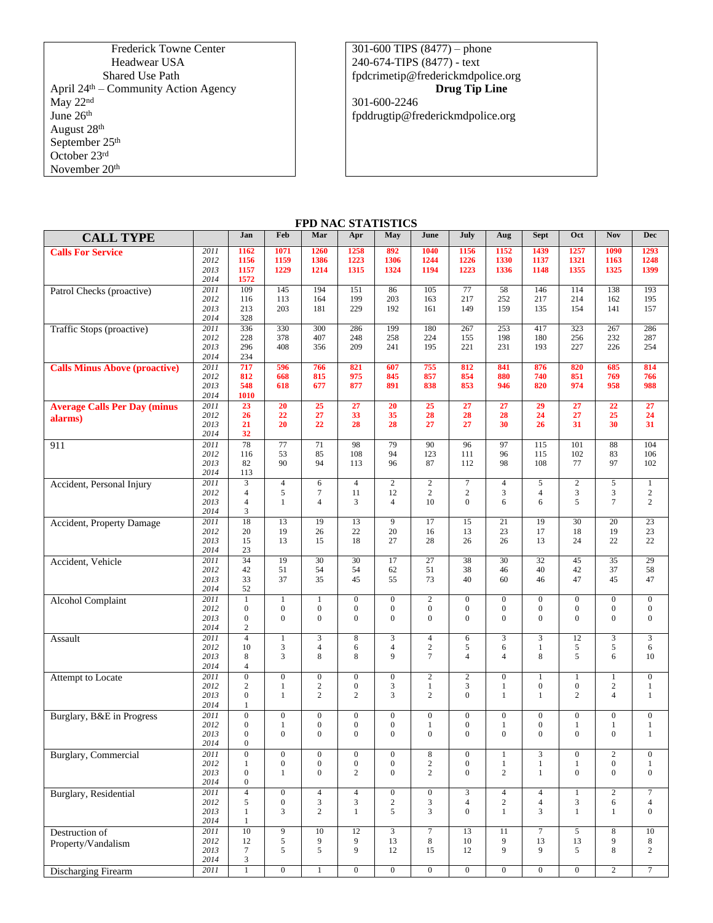Frederick Towne Center Headwear USA Shared Use Path April 24th – Community Action Agency May 22nd June 26<sup>th</sup> August 28th September 25<sup>th</sup> October 23rd November 20th

301-600 TIPS (8477) – phone 240-674-TIPS (8477) - text [fpdcrimetip@frederickmdpolice.org](mailto:fpdcrimetip@frederickmdpolice.org) **Drug Tip Line**

301-600-2246 fpddrugtip@frederickmdpolice.org

| <b>FPD NAC STATISTICS</b>                      |                              |                                                                          |                                                  |                                                      |                                                  |                                                      |                                                        |                                                        |                                                    |                                                      |                                                        |                                                        |                                                        |
|------------------------------------------------|------------------------------|--------------------------------------------------------------------------|--------------------------------------------------|------------------------------------------------------|--------------------------------------------------|------------------------------------------------------|--------------------------------------------------------|--------------------------------------------------------|----------------------------------------------------|------------------------------------------------------|--------------------------------------------------------|--------------------------------------------------------|--------------------------------------------------------|
| <b>CALL TYPE</b>                               |                              | Jan                                                                      | Feb                                              | Mar                                                  | Apr                                              | May                                                  | June                                                   | July                                                   | Aug                                                | <b>Sept</b>                                          | Oct                                                    | Nov                                                    | <b>Dec</b>                                             |
| <b>Calls For Service</b>                       | 2011<br>2012<br>2013<br>2014 | 1162<br>1156<br>1157<br>1572                                             | 1071<br>1159<br>1229                             | 1260<br>1386<br>1214                                 | 1258<br>1223<br>1315                             | 892<br>1306<br>1324                                  | 1040<br>1244<br>1194                                   | 1156<br>1226<br>1223                                   | 1152<br>1330<br>1336                               | 1439<br>1137<br>1148                                 | 1257<br>1321<br>1355                                   | 1090<br>1163<br>1325                                   | 1293<br>1248<br>1399                                   |
| Patrol Checks (proactive)                      | 2011<br>2012<br>2013<br>2014 | 109<br>116<br>213<br>328                                                 | 145<br>113<br>203                                | 194<br>164<br>181                                    | 151<br>199<br>229                                | 86<br>203<br>192                                     | 105<br>163<br>161                                      | 77<br>217<br>149                                       | 58<br>252<br>159                                   | 146<br>217<br>135                                    | 114<br>214<br>154                                      | 138<br>162<br>141                                      | 193<br>195<br>157                                      |
| Traffic Stops (proactive)                      | 2011<br>2012<br>2013<br>2014 | 336<br>228<br>296<br>234                                                 | 330<br>378<br>408                                | 300<br>407<br>356                                    | 286<br>248<br>209                                | 199<br>258<br>241                                    | 180<br>224<br>195                                      | 267<br>155<br>221                                      | 253<br>198<br>231                                  | 417<br>180<br>193                                    | 323<br>256<br>227                                      | 267<br>232<br>226                                      | 286<br>287<br>254                                      |
| <b>Calls Minus Above (proactive)</b>           | 2011<br>2012<br>2013<br>2014 | 717<br>812<br>548<br>1010                                                | 596<br>668<br>618                                | 766<br>815<br>677                                    | 821<br>975<br>877                                | 607<br>845<br>891                                    | 755<br>857<br>838                                      | 812<br>854<br>853                                      | 841<br>880<br>946                                  | 876<br>740<br>820                                    | 820<br>851<br>974                                      | 685<br>769<br>958                                      | 814<br>766<br>988                                      |
| <b>Average Calls Per Day (minus</b><br>alarms) | 2011<br>2012<br>2013<br>2014 | 23<br>26<br>21<br>32                                                     | $\overline{20}$<br>22<br>20                      | 25<br>27<br>22                                       | 27<br>33<br>28                                   | $\overline{20}$<br>35<br>28                          | 25<br>28<br>27                                         | $\overline{27}$<br>28<br>27                            | 27<br>28<br>30                                     | $\overline{29}$<br>24<br>26                          | $\overline{27}$<br>27<br>31                            | $\overline{22}$<br>25<br>30                            | $\overline{27}$<br>24<br>31                            |
| 911                                            | 2011<br>2012<br>2013<br>2014 | 78<br>116<br>82<br>113                                                   | 77<br>53<br>90                                   | 71<br>85<br>94                                       | 98<br>108<br>113                                 | 79<br>94<br>96                                       | 90<br>123<br>87                                        | 96<br>111<br>112                                       | 97<br>96<br>98                                     | 115<br>115<br>108                                    | 101<br>102<br>77                                       | 88<br>83<br>97                                         | 104<br>106<br>102                                      |
| Accident, Personal Injury                      | 2011<br>2012<br>2013<br>2014 | $\overline{4}$<br>$\overline{4}$<br>3                                    | $\overline{4}$<br>5<br>$\mathbf{1}$              | 6<br>$\overline{7}$<br>$\overline{4}$                | $\overline{4}$<br>11<br>3                        | $\overline{2}$<br>12<br>$\overline{4}$               | $\overline{2}$<br>$\sqrt{2}$<br>10                     | $\overline{7}$<br>$\mathbf{2}$<br>$\overline{0}$       | $\overline{4}$<br>$\mathfrak{Z}$<br>6              | 5<br>$\overline{4}$<br>6                             | $\overline{2}$<br>3<br>5                               | 5<br>$\overline{3}$<br>$\overline{7}$                  | $\mathbf{1}$<br>$\overline{c}$<br>$\mathbf{2}$         |
| Accident, Property Damage                      | 2011<br>2012<br>2013<br>2014 | 18<br>20<br>15<br>23                                                     | 13<br>19<br>13                                   | 19<br>26<br>15                                       | 13<br>22<br>18                                   | 9<br>20<br>27                                        | 17<br>16<br>28                                         | 15<br>13<br>26                                         | 21<br>23<br>26                                     | 19<br>17<br>13                                       | 30<br>18<br>24                                         | 20<br>19<br>22                                         | 23<br>23<br>22                                         |
| Accident, Vehicle                              | 2011<br>2012<br>2013<br>2014 | $\overline{34}$<br>42<br>33<br>52                                        | 19<br>51<br>37                                   | $\overline{30}$<br>54<br>35                          | $\overline{30}$<br>54<br>45                      | 17<br>62<br>55                                       | $\overline{27}$<br>51<br>73                            | 38<br>38<br>40                                         | $\overline{30}$<br>46<br>60                        | $\overline{32}$<br>40<br>46                          | 45<br>42<br>47                                         | $\overline{35}$<br>37<br>45                            | 29<br>58<br>47                                         |
| <b>Alcohol Complaint</b>                       | 2011<br>2012<br>2013<br>2014 | $\mathbf{1}$<br>$\boldsymbol{0}$<br>$\boldsymbol{0}$<br>$\mathbf{2}$     | $\mathbf{1}$<br>$\mathbf{0}$<br>$\boldsymbol{0}$ | $\mathbf{1}$<br>$\overline{0}$<br>$\boldsymbol{0}$   | $\overline{0}$<br>$\mathbf{0}$<br>$\mathbf{0}$   | $\overline{0}$<br>$\overline{0}$<br>$\overline{0}$   | $\overline{2}$<br>$\boldsymbol{0}$<br>$\boldsymbol{0}$ | $\overline{0}$<br>$\mathbf{0}$<br>$\theta$             | $\overline{0}$<br>$\mathbf{0}$<br>$\boldsymbol{0}$ | $\overline{0}$<br>$\overline{0}$<br>$\boldsymbol{0}$ | $\overline{0}$<br>$\boldsymbol{0}$<br>$\boldsymbol{0}$ | $\overline{0}$<br>$\boldsymbol{0}$<br>$\boldsymbol{0}$ | $\overline{0}$<br>$\boldsymbol{0}$<br>$\boldsymbol{0}$ |
| Assault                                        | 2011<br>2012<br>2013<br>2014 | $\overline{4}$<br>10<br>8<br>$\overline{4}$                              | $\mathbf{1}$<br>$\overline{3}$<br>3              | $\overline{3}$<br>$\overline{4}$<br>8                | $\overline{8}$<br>6<br>$\,8\,$                   | $\overline{3}$<br>$\overline{4}$<br>9                | $\overline{4}$<br>$\sqrt{2}$<br>$\overline{7}$         | 6<br>5<br>$\overline{4}$                               | $\overline{\mathbf{3}}$<br>6<br>$\overline{4}$     | $\overline{3}$<br>$\mathbf{1}$<br>8                  | 12<br>5<br>5                                           | 5<br>6                                                 | $\overline{\mathbf{3}}$<br>6<br>10                     |
| Attempt to Locate                              | 2011<br>2012<br>2013<br>2014 | $\overline{0}$<br>$\mathbf{2}$<br>$\boldsymbol{0}$<br>$\mathbf{1}$       | $\overline{0}$<br>$\mathbf{1}$<br>$\mathbf{1}$   | $\overline{0}$<br>$\overline{c}$<br>$\overline{c}$   | $\overline{0}$<br>$\mathbf{0}$<br>$\overline{c}$ | $\overline{0}$<br>3<br>3                             | $\overline{2}$<br>$\mathbf{1}$<br>$\overline{c}$       | $\overline{2}$<br>3<br>$\overline{0}$                  | $\overline{0}$<br>$\mathbf{1}$<br>$\mathbf{1}$     | 1<br>$\Omega$<br>1                                   | $\overline{1}$<br>$\mathbf{0}$<br>$\overline{c}$       | $\overline{1}$<br>$\mathbf{2}$<br>$\overline{4}$       | $\overline{0}$<br>$\mathbf{1}$<br>$\mathbf{1}$         |
| Burglary, B&E in Progress                      | 2011<br>2012<br>2013<br>2014 | $\boldsymbol{0}$<br>$\boldsymbol{0}$<br>$\mathbf{0}$<br>$\boldsymbol{0}$ | $\boldsymbol{0}$<br>$\mathbf{1}$<br>$\mathbf{0}$ | $\overline{0}$<br>$\overline{0}$<br>$\overline{0}$   | $\boldsymbol{0}$<br>$\mathbf{0}$<br>$\mathbf{0}$ | $\overline{0}$<br>$\overline{0}$<br>$\overline{0}$   | $\boldsymbol{0}$<br>$\mathbf{1}$<br>$\boldsymbol{0}$   | $\boldsymbol{0}$<br>$\boldsymbol{0}$<br>$\overline{0}$ | $\boldsymbol{0}$<br>$\mathbf{1}$<br>$\mathbf{0}$   | $\boldsymbol{0}$<br>$\overline{0}$<br>$\overline{0}$ | $\boldsymbol{0}$<br>$\mathbf{1}$<br>$\mathbf{0}$       | $\boldsymbol{0}$<br>$\mathbf{1}$<br>$\mathbf{0}$       | $\boldsymbol{0}$<br>$\mathbf{1}$<br>1                  |
| <b>Burglary</b> , Commercial                   | 2011<br>2012<br>2013<br>2014 | $\overline{0}$<br>$\mathbf{1}$<br>$\boldsymbol{0}$<br>$\boldsymbol{0}$   | $\mathbf{0}$<br>$\boldsymbol{0}$<br>$\mathbf{1}$ | $\overline{0}$<br>$\boldsymbol{0}$<br>$\overline{0}$ | $\mathbf{0}$<br>$\mathbf{0}$<br>$\overline{c}$   | $\overline{0}$<br>$\overline{0}$<br>$\boldsymbol{0}$ | $\,$ 8 $\,$<br>$\sqrt{2}$<br>$\overline{c}$            | $\boldsymbol{0}$<br>$\boldsymbol{0}$<br>$\overline{0}$ | $\mathbf{1}$<br>$\mathbf{1}$<br>$\overline{2}$     | 3<br>$\mathbf{1}$<br>1                               | $\mathbf{0}$<br>$\mathbf{1}$<br>$\overline{0}$         | $\mathbf{2}$<br>$\boldsymbol{0}$<br>$\mathbf{0}$       | $\boldsymbol{0}$<br>1<br>$\boldsymbol{0}$              |
| Burglary, Residential                          | 2011<br>2012                 | $\overline{4}$<br>5                                                      | $\boldsymbol{0}$<br>$\mathbf{0}$                 | $\overline{4}$<br>3                                  | $\overline{4}$<br>3                              | $\overline{0}$<br>$\overline{c}$                     | $\overline{0}$<br>3                                    | 3<br>$\overline{4}$                                    | $\overline{4}$<br>$\overline{c}$                   | $\overline{4}$<br>$\overline{4}$                     | $\mathbf{1}$<br>3                                      | $\overline{2}$<br>6                                    | $\overline{7}$<br>$\overline{4}$                       |

 

Destruction of Property/Vandalism

 

   

 

**Discharging Firearm** 2011 1 0 1 0 0 0 0 0 0 0 0 2 7

     $\boldsymbol{0}$ 

   

   

   $\boldsymbol{0}$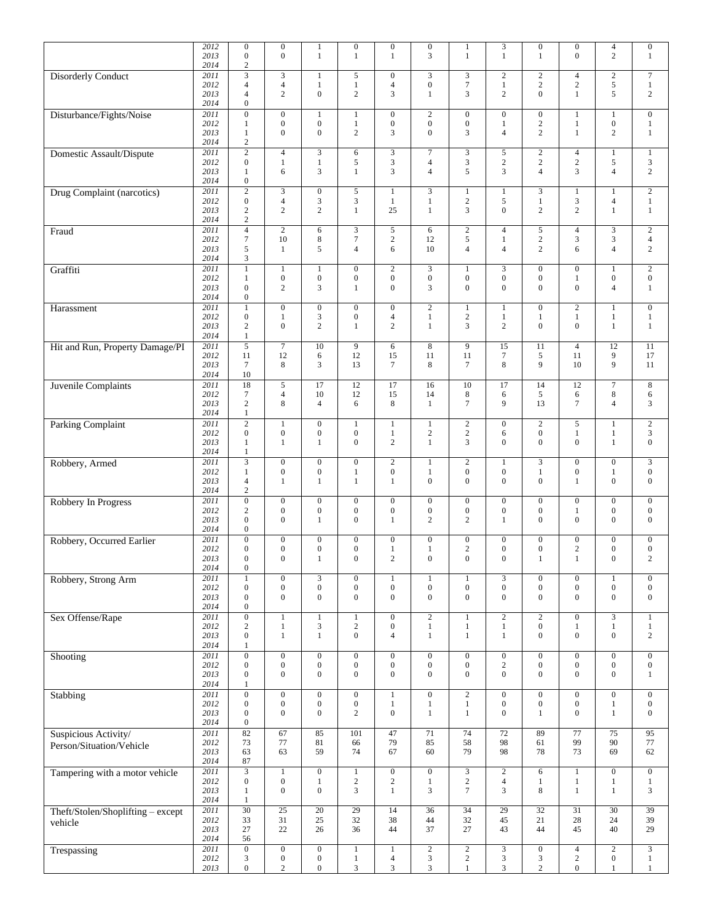|                                   | 2012<br>2013         | $\mathbf{0}$<br>$\boldsymbol{0}$                     | $\boldsymbol{0}$<br>$\overline{0}$   | 1<br>$\mathbf{1}$                    | $\boldsymbol{0}$<br>$\mathbf{1}$     | $\boldsymbol{0}$<br>$\mathbf{1}$   | $\boldsymbol{0}$<br>$\overline{3}$   | 1<br>$\mathbf{1}$                | 3<br>$\mathbf{1}$                    | $\boldsymbol{0}$<br>$\mathbf{1}$   | $\boldsymbol{0}$<br>$\mathbf{0}$     | $\overline{4}$<br>$\overline{c}$ | $\boldsymbol{0}$<br>$\mathbf{1}$     |
|-----------------------------------|----------------------|------------------------------------------------------|--------------------------------------|--------------------------------------|--------------------------------------|------------------------------------|--------------------------------------|----------------------------------|--------------------------------------|------------------------------------|--------------------------------------|----------------------------------|--------------------------------------|
|                                   | 2014<br>2011         | $\boldsymbol{2}$<br>$\overline{3}$                   | $\mathfrak{Z}$                       | 1                                    | 5                                    | $\boldsymbol{0}$                   | $\overline{3}$                       | 3                                | $\mathbf{2}$                         | $\overline{c}$                     | $\overline{4}$                       | $\overline{2}$                   | $\overline{7}$                       |
| <b>Disorderly Conduct</b>         | 2012<br>2013<br>2014 | $\overline{4}$<br>$\overline{4}$<br>$\boldsymbol{0}$ | $\overline{4}$<br>$\overline{c}$     | $\mathbf{1}$<br>$\overline{0}$       | $\mathbf{1}$<br>$\overline{c}$       | $\overline{4}$<br>3                | $\boldsymbol{0}$<br>$\mathbf{1}$     | $\tau$<br>3                      | $\mathbf{1}$<br>$\mathbf{2}$         | $\overline{c}$<br>$\overline{0}$   | $\overline{c}$<br>$\mathbf{1}$       | 5<br>5                           | $\mathbf{1}$<br>$\sqrt{2}$           |
| Disturbance/Fights/Noise          | 2011                 | $\mathbf{0}$                                         | $\boldsymbol{0}$                     | $\mathbf{1}$                         | $\mathbf{1}$                         | $\boldsymbol{0}$                   | $\sqrt{2}$                           | $\boldsymbol{0}$                 | $\boldsymbol{0}$                     | $\boldsymbol{0}$                   | $\mathbf{1}$                         | $\mathbf{1}$                     | $\mathbf{0}$                         |
|                                   | 2012<br>2013<br>2014 | $\mathbf{1}$<br>$\mathbf{1}$<br>$\overline{c}$       | $\boldsymbol{0}$<br>$\mathbf{0}$     | $\boldsymbol{0}$<br>$\mathbf{0}$     | $\mathbf{1}$<br>$\overline{c}$       | $\boldsymbol{0}$<br>3              | $\boldsymbol{0}$<br>$\boldsymbol{0}$ | $\boldsymbol{0}$<br>3            | $\mathbf{1}$<br>$\overline{4}$       | $\overline{c}$<br>$\overline{c}$   | $\mathbf{1}$<br>$\mathbf{1}$         | $\boldsymbol{0}$<br>$\sqrt{2}$   | $\mathbf{1}$<br>$\mathbf{1}$         |
| Domestic Assault/Dispute          | 2011<br>2012         | $\overline{2}$<br>$\boldsymbol{0}$                   | $\overline{4}$<br>$\mathbf{1}$       | 3<br>$\mathbf{1}$                    | 6<br>5                               | 3<br>3                             | $\overline{7}$<br>$\overline{4}$     | 3<br>3                           | 5<br>$\sqrt{2}$                      | $\overline{c}$<br>$\overline{c}$   | $\overline{4}$<br>$\sqrt{2}$         | $\mathbf{1}$<br>5                | $\mathbf{1}$<br>$\sqrt{3}$           |
|                                   | 2013<br>2014         | $\mathbf{1}$<br>$\boldsymbol{0}$                     | 6                                    | 3                                    | $\mathbf{1}$                         | 3                                  | $\overline{4}$                       | 5                                | 3                                    | $\overline{4}$                     | 3                                    | $\overline{4}$                   | $\overline{c}$                       |
| <b>Drug Complaint (narcotics)</b> | 2011<br>2012         | $\sqrt{2}$<br>$\boldsymbol{0}$                       | $\mathfrak{Z}$<br>$\overline{4}$     | $\boldsymbol{0}$<br>3                | 5<br>3                               | $\mathbf{1}$<br>$\mathbf{1}$       | $\overline{3}$<br>$\mathbf{1}$       | $\mathbf{1}$<br>$\sqrt{2}$       | $\mathbf{1}$<br>5                    | $\overline{3}$<br>$\mathbf{1}$     | $\mathbf{1}$<br>$\mathfrak{Z}$       | $\mathbf{1}$<br>$\overline{4}$   | $\sqrt{2}$<br>$\mathbf{1}$           |
|                                   | 2013<br>2014         | $\mathbf{2}$<br>$\sqrt{2}$                           | $\mathbf{2}$                         | $\overline{c}$                       | $\mathbf{1}$                         | 25                                 | $\mathbf{1}$                         | 3                                | $\overline{0}$                       | $\overline{c}$                     | $\overline{c}$                       | $\mathbf{1}$                     | $\mathbf{1}$                         |
| Fraud                             | 2011<br>2012         | $\overline{4}$<br>$\tau$                             | $\overline{2}$<br>10                 | 6<br>8                               | $\overline{3}$<br>$\overline{7}$     | 5<br>$\boldsymbol{2}$              | 6<br>12                              | $\sqrt{2}$<br>$\sqrt{5}$         | $\overline{4}$<br>$\mathbf{1}$       | 5<br>$\overline{c}$                | $\overline{4}$<br>$\mathfrak{Z}$     | $\overline{3}$<br>3              | $\overline{2}$<br>$\overline{4}$     |
|                                   | 2013<br>2014         | 5<br>3                                               | $\mathbf{1}$                         | 5                                    | $\overline{4}$                       | 6                                  | 10                                   | $\overline{4}$                   | $\overline{4}$                       | $\overline{2}$                     | 6                                    | $\overline{4}$                   | 2                                    |
| Graffiti                          | 2011<br>2012         | $\mathbf{1}$<br>$\mathbf{1}$                         | $\mathbf{1}$<br>$\boldsymbol{0}$     | $\mathbf{1}$<br>$\boldsymbol{0}$     | $\overline{0}$<br>$\boldsymbol{0}$   | $\sqrt{2}$<br>$\boldsymbol{0}$     | $\overline{3}$<br>$\boldsymbol{0}$   | $\mathbf{1}$<br>$\boldsymbol{0}$ | 3<br>$\boldsymbol{0}$                | $\overline{0}$<br>$\mathbf{0}$     | $\overline{0}$<br>$\mathbf{1}$       | $\mathbf{1}$<br>$\boldsymbol{0}$ | $\sqrt{2}$<br>$\boldsymbol{0}$       |
|                                   | 2013<br>2014         | $\boldsymbol{0}$<br>$\boldsymbol{0}$                 | $\mathbf{2}$                         | 3                                    | $\mathbf{1}$                         | $\mathbf{0}$                       | 3                                    | $\mathbf{0}$                     | $\overline{0}$                       | $\overline{0}$                     | $\mathbf{0}$                         | $\overline{4}$                   | $\mathbf{1}$                         |
| Harassment                        | 2011                 | $\overline{1}$                                       | $\overline{0}$                       | $\overline{0}$                       | $\mathbf{0}$                         | $\boldsymbol{0}$                   | $\overline{2}$                       | $\mathbf{1}$                     | $\mathbf{1}$                         | $\overline{0}$                     | $\overline{2}$                       | $\mathbf{1}$                     | $\overline{0}$                       |
|                                   | 2012<br>2013         | $\boldsymbol{0}$<br>$\sqrt{2}$                       | $\mathbf{1}$<br>$\boldsymbol{0}$     | 3<br>$\overline{c}$                  | $\mathbf{0}$<br>$\mathbf{1}$         | $\overline{4}$<br>$\overline{c}$   | $\mathbf{1}$<br>$\mathbf{1}$         | $\sqrt{2}$<br>3                  | $\mathbf{1}$<br>$\overline{c}$       | $\mathbf{1}$<br>$\overline{0}$     | $\mathbf{1}$<br>$\mathbf{0}$         | $\mathbf{1}$<br>$\mathbf{1}$     | $\mathbf{1}$<br>$\mathbf{1}$         |
|                                   | 2014                 | $\mathbf{1}$                                         |                                      |                                      |                                      |                                    |                                      |                                  |                                      |                                    |                                      |                                  |                                      |
| Hit and Run, Property Damage/PI   | 2011<br>2012         | 5<br>11                                              | $\overline{7}$<br>12                 | 10<br>6                              | 9<br>12                              | 6<br>15                            | 8<br>11                              | 9<br>11                          | 15<br>$\boldsymbol{7}$               | 11<br>5                            | $\overline{4}$<br>11                 | 12<br>9                          | 11<br>17                             |
|                                   | 2013<br>2014         | $\tau$<br>10                                         | 8                                    | 3                                    | 13                                   | $\overline{7}$                     | 8                                    | $\tau$                           | 8                                    | 9                                  | 10                                   | 9                                | 11                                   |
| Juvenile Complaints               | 2011                 | $\overline{18}$                                      | 5                                    | $\overline{17}$                      | 12                                   | 17                                 | 16                                   | 10                               | 17                                   | 14                                 | 12                                   | $\overline{7}$                   | $\,8\,$                              |
|                                   | 2012<br>2013         | $\boldsymbol{7}$<br>$\sqrt{2}$                       | $\overline{4}$<br>8                  | 10<br>$\overline{4}$                 | 12<br>6                              | 15<br>8                            | 14<br>$\mathbf{1}$                   | 8<br>$\overline{7}$              | 6<br>9                               | 5<br>13                            | $\sqrt{6}$<br>$\overline{7}$         | $\,$ 8 $\,$<br>4                 | 6<br>$\mathfrak{Z}$                  |
| <b>Parking Complaint</b>          | 2014<br>2011         | $\mathbf{1}$<br>$\overline{2}$                       | $\mathbf{1}$                         | $\boldsymbol{0}$                     | $\mathbf{1}$                         | $\mathbf{1}$                       | $\mathbf{1}$                         | $\overline{c}$                   | $\boldsymbol{0}$                     | $\overline{c}$                     | 5                                    | $\mathbf{1}$                     | $\overline{2}$                       |
|                                   | 2012<br>2013         | $\boldsymbol{0}$<br>$\mathbf{1}$                     | $\boldsymbol{0}$<br>$\mathbf{1}$     | $\boldsymbol{0}$<br>$\mathbf{1}$     | $\boldsymbol{0}$<br>$\overline{0}$   | $\mathbf{1}$<br>$\overline{c}$     | $\sqrt{2}$<br>$\mathbf{1}$           | $\sqrt{2}$<br>3                  | 6<br>$\boldsymbol{0}$                | $\overline{0}$<br>$\overline{0}$   | $\mathbf{1}$<br>$\boldsymbol{0}$     | 1<br>$\mathbf{1}$                | 3<br>$\boldsymbol{0}$                |
|                                   | 2014                 | $\mathbf{1}$                                         |                                      |                                      |                                      |                                    |                                      |                                  |                                      |                                    |                                      |                                  |                                      |
| Robbery, Armed                    | 2011<br>2012         | $\overline{3}$<br>$\mathbf{1}$                       | $\boldsymbol{0}$<br>$\boldsymbol{0}$ | $\boldsymbol{0}$<br>$\boldsymbol{0}$ | $\overline{0}$<br>$\mathbf{1}$       | $\overline{c}$<br>$\boldsymbol{0}$ | $\mathbf{1}$<br>$\mathbf{1}$         | $\mathbf{2}$<br>$\boldsymbol{0}$ | $\mathbf{1}$<br>$\boldsymbol{0}$     | 3<br>$\mathbf{1}$                  | $\boldsymbol{0}$<br>$\boldsymbol{0}$ | $\boldsymbol{0}$<br>$\mathbf{1}$ | $\mathfrak{Z}$<br>$\boldsymbol{0}$   |
|                                   | 2013<br>2014         | $\overline{4}$<br>$\mathbf{2}$                       | $\mathbf{1}$                         | $\mathbf{1}$                         | $\mathbf{1}$                         | $\mathbf{1}$                       | $\boldsymbol{0}$                     | $\overline{0}$                   | $\overline{0}$                       | $\overline{0}$                     | $\mathbf{1}$                         | $\boldsymbol{0}$                 | $\boldsymbol{0}$                     |
| Robbery In Progress               | 2011                 | $\mathbf{0}$                                         | $\boldsymbol{0}$                     | $\boldsymbol{0}$                     | $\mathbf{0}$                         | $\boldsymbol{0}$                   | $\boldsymbol{0}$                     | $\boldsymbol{0}$                 | $\boldsymbol{0}$                     | $\mathbf{0}$                       | $\boldsymbol{0}$                     | $\boldsymbol{0}$                 | $\boldsymbol{0}$                     |
|                                   | 2012<br>2013         | $\sqrt{2}$<br>$\boldsymbol{0}$                       | $\boldsymbol{0}$<br>$\boldsymbol{0}$ | $\boldsymbol{0}$<br>$\mathbf{1}$     | $\overline{0}$<br>$\mathbf{0}$       | $\mathbf{0}$<br>$\mathbf{1}$       | $\boldsymbol{0}$<br>$\mathbf{2}$     | $\boldsymbol{0}$<br>$\mathbf{2}$ | $\boldsymbol{0}$<br>$\mathbf{1}$     | $\overline{0}$<br>$\overline{0}$   | 1<br>$\mathbf{0}$                    | $\mathbf{0}$<br>$\mathbf{0}$     | $\boldsymbol{0}$<br>$\mathbf{0}$     |
| Robbery, Occurred Earlier         | 2014<br>2011         | $\boldsymbol{0}$<br>$\overline{0}$                   | $\boldsymbol{0}$                     | $\overline{0}$                       | $\boldsymbol{0}$                     | $\boldsymbol{0}$                   | $\boldsymbol{0}$                     | $\boldsymbol{0}$                 | $\boldsymbol{0}$                     | $\mathbf{0}$                       | $\boldsymbol{0}$                     | $\boldsymbol{0}$                 | $\boldsymbol{0}$                     |
|                                   | 2012                 | $\boldsymbol{0}$                                     | $\boldsymbol{0}$                     | $\boldsymbol{0}$                     | $\overline{0}$                       | $\mathbf{1}$                       | $\mathbf{1}$                         | $\sqrt{2}$                       | $\boldsymbol{0}$                     | $\overline{0}$                     | $\sqrt{2}$                           | $\boldsymbol{0}$                 | $\boldsymbol{0}$                     |
|                                   | 2013<br>2014         | $\overline{0}$<br>$\boldsymbol{0}$                   | $\mathbf{0}$                         | $\mathbf{1}$                         | $\overline{0}$                       | $\overline{c}$                     | $\mathbf{0}$                         | $\overline{0}$                   | $\overline{0}$                       | $\mathbf{1}$                       | $\mathbf{1}$                         | $\mathbf{0}$                     | $\sqrt{2}$                           |
| Robbery, Strong Arm               | 2011<br>2012         | $\mathbf{1}$<br>$\mathbf{0}$                         | $\boldsymbol{0}$<br>$\boldsymbol{0}$ | $\overline{3}$<br>$\overline{0}$     | $\boldsymbol{0}$<br>$\boldsymbol{0}$ | 1<br>$\boldsymbol{0}$              | 1<br>$\boldsymbol{0}$                | 1<br>$\boldsymbol{0}$            | 3<br>$\overline{0}$                  | $\boldsymbol{0}$<br>$\overline{0}$ | $\boldsymbol{0}$<br>$\boldsymbol{0}$ | 1<br>$\boldsymbol{0}$            | $\boldsymbol{0}$<br>$\boldsymbol{0}$ |
|                                   | 2013<br>2014         | $\boldsymbol{0}$<br>$\boldsymbol{0}$                 | $\boldsymbol{0}$                     | $\boldsymbol{0}$                     | $\overline{0}$                       | $\mathbf{0}$                       | $\boldsymbol{0}$                     | $\mathbf{0}$                     | $\overline{0}$                       | $\overline{0}$                     | $\mathbf{0}$                         | $\boldsymbol{0}$                 | $\boldsymbol{0}$                     |
| Sex Offense/Rape                  | 2011                 | $\overline{0}$                                       | $\mathbf{1}$                         | $\mathbf{1}$                         | $\mathbf{1}$                         | $\boldsymbol{0}$                   | $\overline{2}$                       | $\mathbf{1}$                     | $\overline{2}$                       | $\overline{2}$                     | $\overline{0}$                       | $\overline{3}$                   | $\mathbf{1}$                         |
|                                   | 2012<br>2013         | $\boldsymbol{2}$<br>$\overline{0}$                   | $\mathbf{1}$<br>$\mathbf{1}$         | 3<br>$\mathbf{1}$                    | $\overline{c}$<br>$\boldsymbol{0}$   | $\boldsymbol{0}$<br>$\overline{4}$ | $\mathbf{1}$<br>$\mathbf{1}$         | $\mathbf{1}$<br>$\mathbf{1}$     | $\mathbf{1}$<br>$\mathbf{1}$         | $\overline{0}$<br>$\overline{0}$   | $\mathbf{1}$<br>$\theta$             | $\mathbf{1}$<br>$\boldsymbol{0}$ | $\mathbf{1}$<br>$\overline{c}$       |
|                                   | 2014<br>2011         | $\mathbf{1}$<br>$\overline{0}$                       | $\boldsymbol{0}$                     | $\overline{0}$                       | $\boldsymbol{0}$                     | $\boldsymbol{0}$                   | $\overline{0}$                       | $\boldsymbol{0}$                 | $\boldsymbol{0}$                     | $\boldsymbol{0}$                   | $\boldsymbol{0}$                     | $\overline{0}$                   | $\boldsymbol{0}$                     |
| Shooting                          | 2012                 | $\boldsymbol{0}$                                     | $\boldsymbol{0}$                     | $\boldsymbol{0}$                     | $\boldsymbol{0}$                     | $\mathbf{0}$                       | $\boldsymbol{0}$                     | $\boldsymbol{0}$                 | $\boldsymbol{2}$                     | $\boldsymbol{0}$                   | $\boldsymbol{0}$                     | $\boldsymbol{0}$                 | $\boldsymbol{0}$                     |
|                                   | 2013<br>2014         | $\boldsymbol{0}$<br>$\mathbf{1}$                     | $\boldsymbol{0}$                     | $\mathbf{0}$                         | $\overline{0}$                       | $\boldsymbol{0}$                   | $\boldsymbol{0}$                     | $\mathbf{0}$                     | $\mathbf{0}$                         | $\overline{0}$                     | $\mathbf{0}$                         | $\boldsymbol{0}$                 | $\mathbf{1}$                         |
| Stabbing                          | 2011<br>2012         | $\mathbf{0}$<br>$\overline{0}$                       | $\boldsymbol{0}$<br>$\boldsymbol{0}$ | $\overline{0}$<br>$\boldsymbol{0}$   | $\mathbf{0}$<br>$\boldsymbol{0}$     | $\mathbf{1}$<br>$\mathbf{1}$       | $\boldsymbol{0}$<br>$\mathbf{1}$     | $\sqrt{2}$<br>$\mathbf{1}$       | $\boldsymbol{0}$<br>$\boldsymbol{0}$ | $\mathbf{0}$<br>$\boldsymbol{0}$   | $\mathbf{0}$<br>$\boldsymbol{0}$     | $\overline{0}$<br>$\mathbf{1}$   | $\boldsymbol{0}$<br>$\boldsymbol{0}$ |
|                                   | 2013                 | $\boldsymbol{0}$                                     | $\overline{0}$                       | $\mathbf{0}$                         | $\overline{c}$                       | $\mathbf{0}$                       | $\mathbf{1}$                         | $\mathbf{1}$                     | $\overline{0}$                       | $\mathbf{1}$                       | $\mathbf{0}$                         | $\mathbf{1}$                     | $\boldsymbol{0}$                     |
| Suspicious Activity/              | 2014<br>2011         | $\boldsymbol{0}$<br>82                               | 67                                   | 85                                   | 101                                  | 47                                 | $\overline{71}$                      | $\overline{74}$                  | 72                                   | 89                                 | $\overline{77}$                      | $\overline{75}$                  | 95                                   |
| Person/Situation/Vehicle          | 2012<br>2013         | 73<br>63                                             | 77<br>63                             | 81<br>59                             | 66<br>74                             | 79<br>67                           | 85<br>60                             | 58<br>79                         | 98<br>98                             | 61<br>78                           | 99<br>73                             | 90<br>69                         | $77\,$<br>62                         |
|                                   | 2014                 | 87                                                   |                                      |                                      |                                      |                                    |                                      |                                  |                                      |                                    |                                      |                                  |                                      |
| Tampering with a motor vehicle    | 2011<br>2012         | $\overline{3}$<br>$\boldsymbol{0}$                   | $\mathbf{1}$<br>$\boldsymbol{0}$     | $\mathbf{0}$<br>$\mathbf{1}$         | $\mathbf{1}$<br>$\overline{c}$       | $\mathbf{0}$<br>$\overline{c}$     | $\boldsymbol{0}$<br>$\mathbf{1}$     | $\sqrt{3}$<br>$\overline{c}$     | $\sqrt{2}$<br>$\overline{4}$         | 6<br>$\mathbf{1}$                  | $\mathbf{1}$<br>$\mathbf{1}$         | $\overline{0}$<br>$\mathbf{1}$   | $\boldsymbol{0}$<br>$\mathbf{1}$     |
|                                   | 2013<br>2014         | $\mathbf{1}$<br>$\mathbf{1}$                         | $\boldsymbol{0}$                     | $\boldsymbol{0}$                     | 3                                    | $\mathbf{1}$                       | $\mathfrak{Z}$                       | $\tau$                           | 3                                    | 8                                  | $\mathbf{1}$                         | $\mathbf{1}$                     | 3                                    |
| Theft/Stolen/Shoplifting - except | 2011                 | $\overline{30}$                                      | $\overline{25}$                      | $\overline{20}$                      | $\overline{29}$                      | 14                                 | $\overline{36}$                      | $\overline{34}$                  | $\overline{29}$                      | $\overline{32}$                    | $\overline{31}$                      | $\overline{30}$                  | $\overline{39}$                      |
| vehicle                           | 2012<br>2013         | 33<br>27                                             | 31<br>22                             | 25<br>26                             | 32<br>36                             | 38<br>44                           | 44<br>37                             | 32<br>27                         | 45<br>43                             | 21<br>44                           | 28<br>45                             | 24<br>40                         | 39<br>29                             |
| Trespassing                       | 2014<br>2011         | 56<br>$\overline{0}$                                 | $\boldsymbol{0}$                     | $\overline{0}$                       | $1\,$                                | $\mathbf{1}$                       | $\overline{2}$                       | $\sqrt{2}$                       | $\sqrt{3}$                           | $\overline{0}$                     | $\overline{4}$                       | $\overline{2}$                   | $\overline{3}$                       |
|                                   | 2012                 | 3                                                    | $\boldsymbol{0}$                     | $\boldsymbol{0}$                     | $\mathbf{1}$                         | $\overline{4}$                     | $\sqrt{3}$                           | $\sqrt{2}$                       | 3                                    | 3                                  | $\overline{2}$                       | $\boldsymbol{0}$                 | $\mathbf{1}$                         |
|                                   | 2013                 | $\boldsymbol{0}$                                     | $\overline{c}$                       | $\overline{0}$                       | 3                                    | 3                                  | $\mathfrak{Z}$                       | $\mathbf{1}$                     | $\overline{3}$                       | $\overline{c}$                     | $\overline{0}$                       | $\mathbf{1}$                     | $\mathbf{1}$                         |